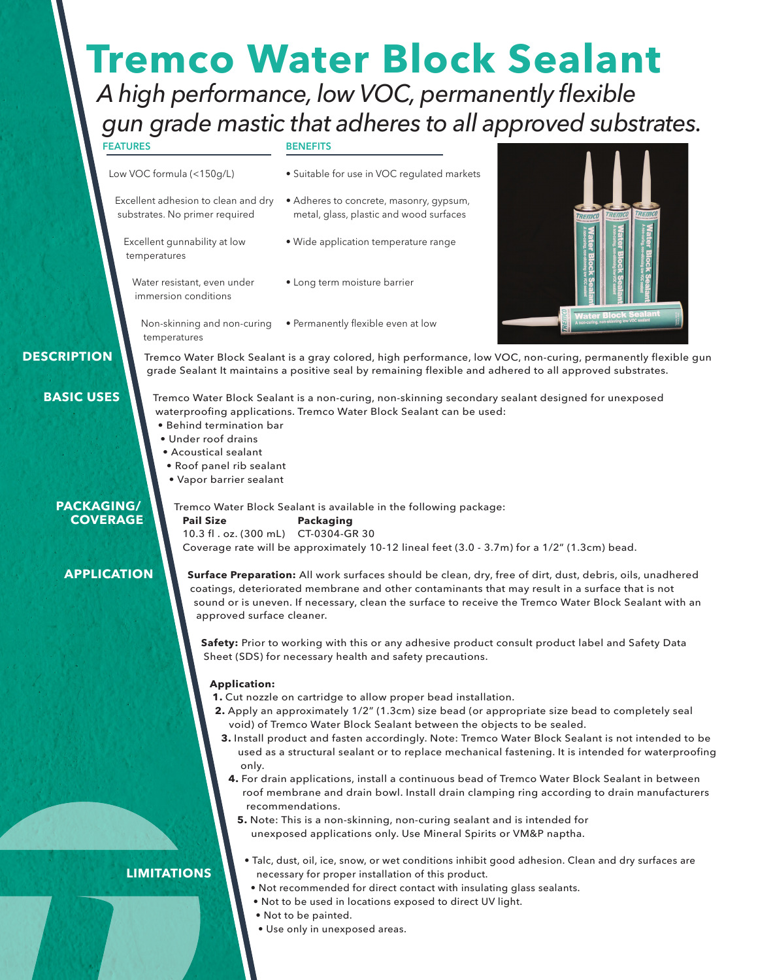# **Tremco Water Block Sealant**

# *A high performance, low VOC, permanently flexible gun grade mastic that adheres to all approved substrates.*

**FEATURES**

Low VOC formula (<150g/L)

temperatures

Excellent adhesion to clean and dry substrates. No primer required

Excellent gunnability at low

Water resistant, even under immersion conditions

temperatures

### **BENEFITS**



 **DESCRIPTION**

**BASIC USES**

Tremco Water Block Sealant is a gray colored, high performance, low VOC, non-curing, permanently flexible gun grade Sealant It maintains a positive seal by remaining flexible and adhered to all approved substrates.

Tremco Water Block Sealant is a non-curing, non-skinning secondary sealant designed for unexposed waterproofing applications. Tremco Water Block Sealant can be used:

- Behind termination bar
- Under roof drains
- Acoustical sealant
- Roof panel rib sealant
- Vapor barrier sealant

# **PACKAGING/ COVERAGE**

Tremco Water Block Sealant is available in the following package: **Pail Size Packaging** 10.3 fl . oz. (300 mL) CT-0304-GR 30 Coverage rate will be approximately 10-12 lineal feet (3.0 - 3.7m) for a 1/2" (1.3cm) bead.

# **APPLICATION**

**Surface Preparation:** All work surfaces should be clean, dry, free of dirt, dust, debris, oils, unadhered coatings, deteriorated membrane and other contaminants that may result in a surface that is not sound or is uneven. If necessary, clean the surface to receive the Tremco Water Block Sealant with an approved surface cleaner.

**Safety:** Prior to working with this or any adhesive product consult product label and Safety Data Sheet (SDS) for necessary health and safety precautions.

# **Application:**

- **1.** Cut nozzle on cartridge to allow proper bead installation.
- **2.** Apply an approximately 1/2" (1.3cm) size bead (or appropriate size bead to completely seal void) of Tremco Water Block Sealant between the objects to be sealed.
- **3.** Install product and fasten accordingly. Note: Tremco Water Block Sealant is not intended to be used as a structural sealant or to replace mechanical fastening. It is intended for waterproofing only.
- **4.** For drain applications, install a continuous bead of Tremco Water Block Sealant in between roof membrane and drain bowl. Install drain clamping ring according to drain manufacturers recommendations.

• Talc, dust, oil, ice, snow, or wet conditions inhibit good adhesion. Clean and dry surfaces are

**5.** Note: This is a non-skinning, non-curing sealant and is intended for unexposed applications only. Use Mineral Spirits or VM&P naptha.

# **LIMITATIONS**

- necessary for proper installation of this product. • Not recommended for direct contact with insulating glass sealants.
- Not to be used in locations exposed to direct UV light.
- Not to be painted.
- Use only in unexposed areas.